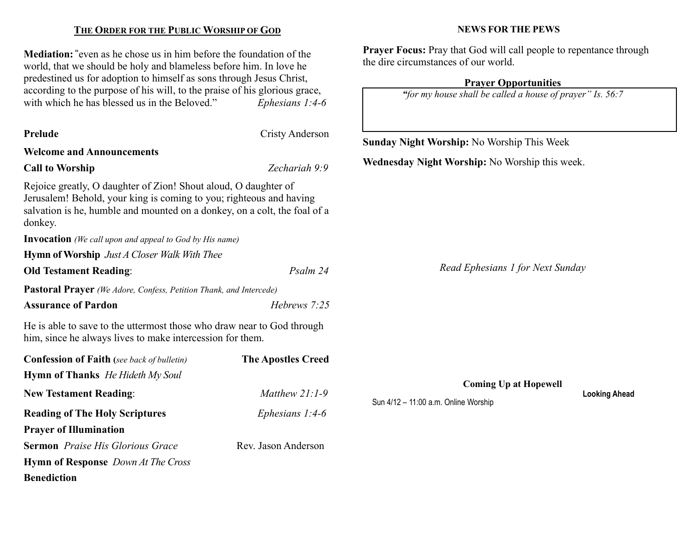### THE ORDER FOR THE PUBLIC WORSHIP OF GOD

Mediation: "even as he chose us in him before the foundation of the world, that we should be holy and blameless before him. In love he predestined us for adoption to himself as sons through Jesus Christ, according to the purpose of his will, to the praise of his glorious grace, with which he has blessed us in the Beloved." Ephesians  $1:4-6$ 

| <b>Prelude</b>                                                                                                                                                                                                                 | Cristy Anderson           |                                                                      |                      |  |
|--------------------------------------------------------------------------------------------------------------------------------------------------------------------------------------------------------------------------------|---------------------------|----------------------------------------------------------------------|----------------------|--|
|                                                                                                                                                                                                                                |                           | Sunday Night Worship: No Worship This Week                           |                      |  |
| <b>Welcome and Announcements</b>                                                                                                                                                                                               |                           | Wednesday Night Worship: No Worship this week.                       |                      |  |
| <b>Call to Worship</b>                                                                                                                                                                                                         | Zechariah 9:9             |                                                                      |                      |  |
| Rejoice greatly, O daughter of Zion! Shout aloud, O daughter of<br>Jerusalem! Behold, your king is coming to you; righteous and having<br>salvation is he, humble and mounted on a donkey, on a colt, the foal of a<br>donkey. |                           |                                                                      |                      |  |
| <b>Invocation</b> (We call upon and appeal to God by His name)                                                                                                                                                                 |                           |                                                                      |                      |  |
| <b>Hymn of Worship</b> Just A Closer Walk With Thee                                                                                                                                                                            |                           |                                                                      |                      |  |
| <b>Old Testament Reading:</b>                                                                                                                                                                                                  | Psalm 24                  | Read Ephesians 1 for Next Sunday                                     |                      |  |
| <b>Pastoral Prayer</b> (We Adore, Confess, Petition Thank, and Intercede)                                                                                                                                                      |                           |                                                                      |                      |  |
| <b>Assurance of Pardon</b>                                                                                                                                                                                                     | Hebrews 7:25              |                                                                      |                      |  |
| He is able to save to the uttermost those who draw near to God through<br>him, since he always lives to make intercession for them.                                                                                            |                           |                                                                      |                      |  |
| <b>Confession of Faith</b> (see back of bulletin)                                                                                                                                                                              | <b>The Apostles Creed</b> |                                                                      |                      |  |
| <b>Hymn of Thanks</b> He Hideth My Soul                                                                                                                                                                                        |                           |                                                                      |                      |  |
| <b>New Testament Reading:</b>                                                                                                                                                                                                  | Matthew 21:1-9            | <b>Coming Up at Hopewell</b><br>Sun 4/12 - 11:00 a.m. Online Worship | <b>Looking Ahead</b> |  |
| <b>Reading of The Holy Scriptures</b>                                                                                                                                                                                          | Ephesians $1:4-6$         |                                                                      |                      |  |
| <b>Prayer of Illumination</b>                                                                                                                                                                                                  |                           |                                                                      |                      |  |
| <b>Sermon</b> Praise His Glorious Grace                                                                                                                                                                                        | Rev. Jason Anderson       |                                                                      |                      |  |
| <b>Hymn of Response</b> Down At The Cross                                                                                                                                                                                      |                           |                                                                      |                      |  |
| <b>Benediction</b>                                                                                                                                                                                                             |                           |                                                                      |                      |  |

#### NEWS FOR THE PEWS

Prayer Focus: Pray that God will call people to repentance through the dire circumstances of our world.

### Prayer Opportunities

"for my house shall be called a house of prayer" Is. 56:7